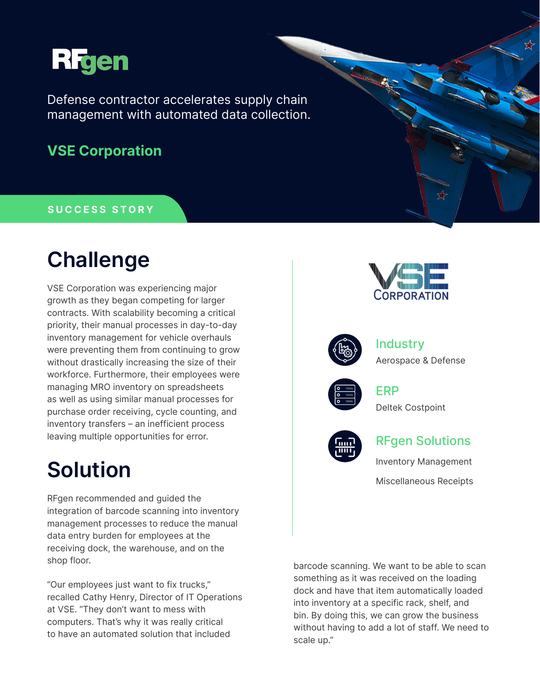

Defense contractor accelerates supply chain management with automated data collection.

### **VSE Corporation**

#### **SUCCESS STORY**

# **Challenge**

VSE Corporation was experiencing major growth as they began competing for larger contracts. With scalability becoming a critical priority, their manual processes in day-to-day inventory management for vehicle overhauls were preventing them from continuing to grow without drastically increasing the size of their workforce. Furthermore, their employees were managing MRO inventory on spreadsheets as well as using similar manual processes for purchase order receiving, cycle counting, and inventory transfers – an inefficient process leaving multiple opportunities for error.

# **Solution**

RFgen recommended and guided the integration of barcode scanning into inventory management processes to reduce the manual data entry burden for employees at the receiving dock, the warehouse, and on the shop floor.

"Our employees just want to fix trucks," recalled Cathy Henry, Director of IT Operations at VSE. "They don't want to mess with computers. That's why it was really critical to have an automated solution that included



barcode scanning. We want to be able to scan something as it was received on the loading dock and have that item automatically loaded into inventory at a specific rack, shelf, and bin. By doing this, we can grow the business without having to add a lot of staff. We need to scale up."